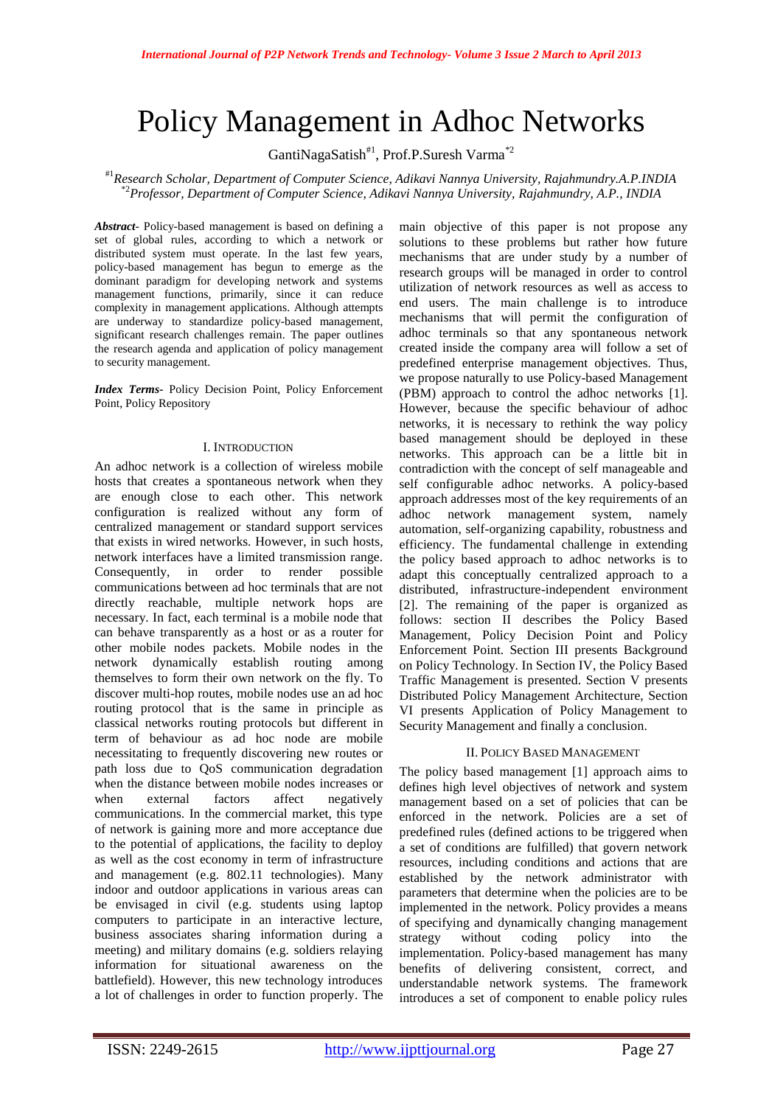# Policy Management in Adhoc Networks

GantiNagaSatish<sup>#1</sup>, Prof.P.Suresh Varma<sup>\*2</sup>

#1*Research Scholar, Department of Computer Science, Adikavi Nannya University, Rajahmundry.A.P.INDIA* \*2*Professor, Department of Computer Science, Adikavi Nannya University, Rajahmundry, A.P., INDIA*

*Abstract-* Policy-based management is based on defining a set of global rules, according to which a network or distributed system must operate. In the last few years, policy-based management has begun to emerge as the dominant paradigm for developing network and systems management functions, primarily, since it can reduce complexity in management applications. Although attempts are underway to standardize policy-based management, significant research challenges remain. The paper outlines the research agenda and application of policy management to security management.

*Index Terms-* Policy Decision Point, Policy Enforcement Point, Policy Repository

#### I. INTRODUCTION

An adhoc network is a collection of wireless mobile hosts that creates a spontaneous network when they are enough close to each other. This network configuration is realized without any form of centralized management or standard support services that exists in wired networks. However, in such hosts, network interfaces have a limited transmission range. Consequently, in order to render possible communications between ad hoc terminals that are not directly reachable, multiple network hops are necessary. In fact, each terminal is a mobile node that can behave transparently as a host or as a router for other mobile nodes packets. Mobile nodes in the network dynamically establish routing among themselves to form their own network on the fly. To discover multi-hop routes, mobile nodes use an ad hoc routing protocol that is the same in principle as classical networks routing protocols but different in term of behaviour as ad hoc node are mobile necessitating to frequently discovering new routes or path loss due to QoS communication degradation when the distance between mobile nodes increases or when external factors affect negatively communications. In the commercial market, this type of network is gaining more and more acceptance due to the potential of applications, the facility to deploy as well as the cost economy in term of infrastructure and management (e.g. 802.11 technologies). Many indoor and outdoor applications in various areas can be envisaged in civil (e.g. students using laptop computers to participate in an interactive lecture, business associates sharing information during a meeting) and military domains (e.g. soldiers relaying information for situational awareness on the battlefield). However, this new technology introduces a lot of challenges in order to function properly. The

main objective of this paper is not propose any solutions to these problems but rather how future mechanisms that are under study by a number of research groups will be managed in order to control utilization of network resources as well as access to end users. The main challenge is to introduce mechanisms that will permit the configuration of adhoc terminals so that any spontaneous network created inside the company area will follow a set of predefined enterprise management objectives. Thus, we propose naturally to use Policy-based Management (PBM) approach to control the adhoc networks [1]. However, because the specific behaviour of adhoc networks, it is necessary to rethink the way policy based management should be deployed in these networks. This approach can be a little bit in contradiction with the concept of self manageable and self configurable adhoc networks. A policy-based approach addresses most of the key requirements of an adhoc network management system, namely automation, self-organizing capability, robustness and efficiency. The fundamental challenge in extending the policy based approach to adhoc networks is to adapt this conceptually centralized approach to a distributed, infrastructure-independent environment [2]. The remaining of the paper is organized as follows: section II describes the Policy Based Management, Policy Decision Point and Policy Enforcement Point. Section III presents Background on Policy Technology. In Section IV, the Policy Based Traffic Management is presented. Section V presents Distributed Policy Management Architecture, Section VI presents Application of Policy Management to Security Management and finally a conclusion.

## II. POLICY BASED MANAGEMENT

The policy based management [1] approach aims to defines high level objectives of network and system management based on a set of policies that can be enforced in the network. Policies are a set of predefined rules (defined actions to be triggered when a set of conditions are fulfilled) that govern network resources, including conditions and actions that are established by the network administrator with parameters that determine when the policies are to be implemented in the network. Policy provides a means of specifying and dynamically changing management strategy without coding policy into the implementation. Policy-based management has many benefits of delivering consistent, correct, and understandable network systems. The framework introduces a set of component to enable policy rules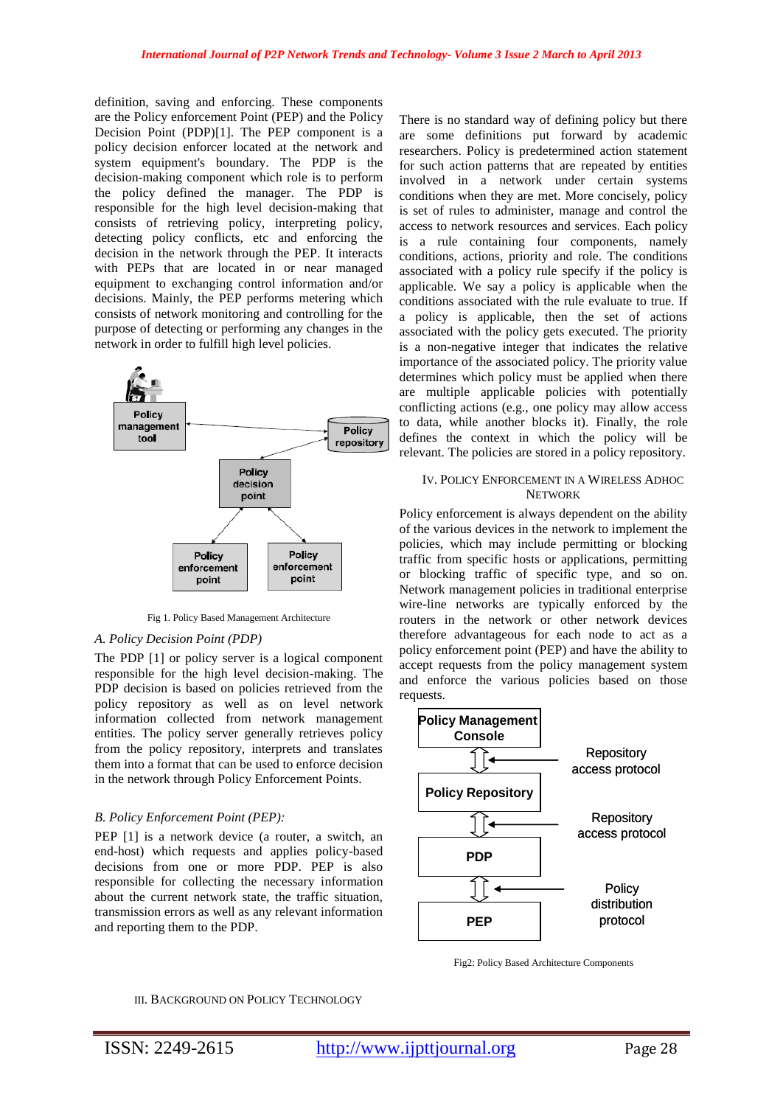definition, saving and enforcing. These components are the Policy enforcement Point (PEP) and the Policy Decision Point (PDP)[1]. The PEP component is a policy decision enforcer located at the network and system equipment's boundary. The PDP is the decision-making component which role is to perform the policy defined the manager. The PDP is responsible for the high level decision-making that consists of retrieving policy, interpreting policy, detecting policy conflicts, etc and enforcing the decision in the network through the PEP. It interacts with PEPs that are located in or near managed equipment to exchanging control information and/or decisions. Mainly, the PEP performs metering which consists of network monitoring and controlling for the purpose of detecting or performing any changes in the network in order to fulfill high level policies.



Fig 1. Policy Based Management Architecture

## *A. Policy Decision Point (PDP)*

The PDP [1] or policy server is a logical component responsible for the high level decision-making. The PDP decision is based on policies retrieved from the policy repository as well as on level network information collected from network management entities. The policy server generally retrieves policy from the policy repository, interprets and translates them into a format that can be used to enforce decision in the network through Policy Enforcement Points.

#### *B. Policy Enforcement Point (PEP):*

PEP [1] is a network device (a router, a switch, an end-host) which requests and applies policy-based decisions from one or more PDP. PEP is also responsible for collecting the necessary information about the current network state, the traffic situation, transmission errors as well as any relevant information and reporting them to the PDP.

There is no standard way of defining policy but there are some definitions put forward by academic researchers. Policy is predetermined action statement for such action patterns that are repeated by entities involved in a network under certain systems conditions when they are met. More concisely, policy is set of rules to administer, manage and control the access to network resources and services. Each policy is a rule containing four components, namely conditions, actions, priority and role. The conditions associated with a policy rule specify if the policy is applicable. We say a policy is applicable when the conditions associated with the rule evaluate to true. If a policy is applicable, then the set of actions associated with the policy gets executed. The priority is a non-negative integer that indicates the relative importance of the associated policy. The priority value determines which policy must be applied when there are multiple applicable policies with potentially conflicting actions (e.g., one policy may allow access to data, while another blocks it). Finally, the role defines the context in which the policy will be relevant. The policies are stored in a policy repository.

#### IV. POLICY ENFORCEMENT IN A WIRELESS ADHOC NETWORK

Policy enforcement is always dependent on the ability of the various devices in the network to implement the policies, which may include permitting or blocking traffic from specific hosts or applications, permitting or blocking traffic of specific type, and so on. Network management policies in traditional enterprise wire-line networks are typically enforced by the routers in the network or other network devices therefore advantageous for each node to act as a policy enforcement point (PEP) and have the ability to accept requests from the policy management system and enforce the various policies based on those requests.



Fig2: Policy Based Architecture Components

III. BACKGROUND ON POLICY TECHNOLOGY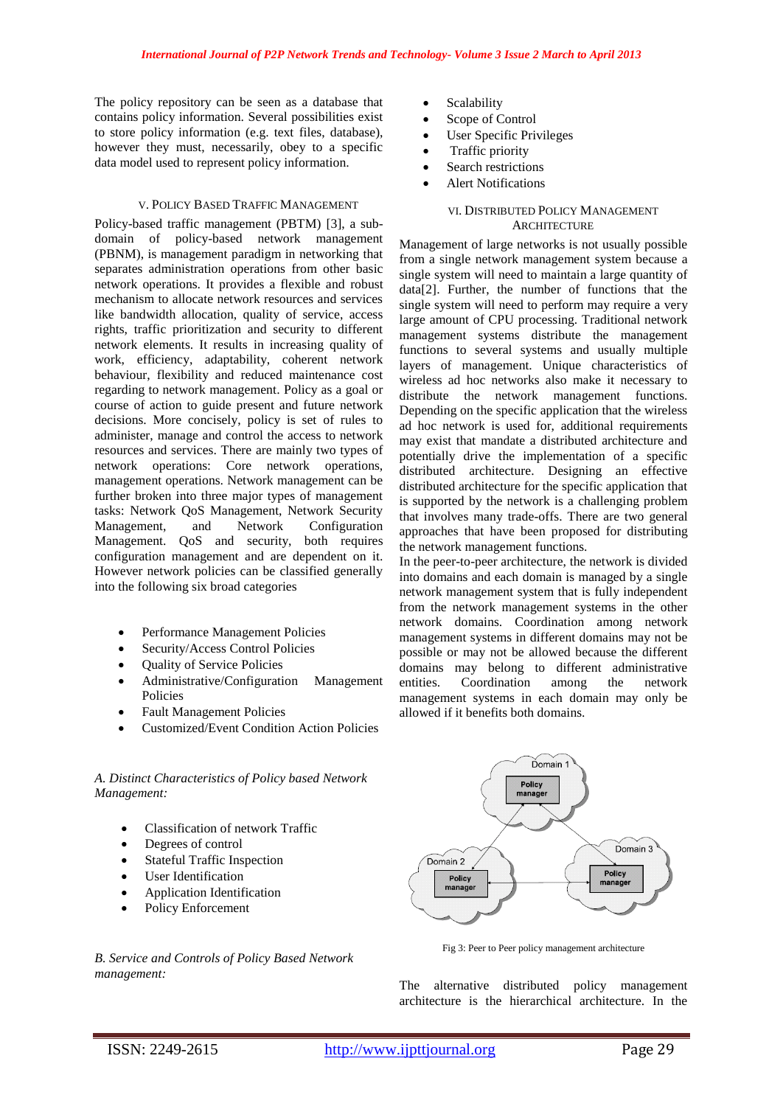The policy repository can be seen as a database that contains policy information. Several possibilities exist to store policy information (e.g. text files, database), however they must, necessarily, obey to a specific data model used to represent policy information.

### V. POLICY BASED TRAFFIC MANAGEMENT

Policy-based traffic management (PBTM) [3], a subdomain of policy-based network management (PBNM), is management paradigm in networking that separates administration operations from other basic network operations. It provides a flexible and robust mechanism to allocate network resources and services like bandwidth allocation, quality of service, access rights, traffic prioritization and security to different network elements. It results in increasing quality of work, efficiency, adaptability, coherent network behaviour, flexibility and reduced maintenance cost regarding to network management. Policy as a goal or course of action to guide present and future network decisions. More concisely, policy is set of rules to administer, manage and control the access to network resources and services. There are mainly two types of network operations: Core network operations, management operations. Network management can be further broken into three major types of management tasks: Network QoS Management, Network Security Management, and Network Configuration Management. QoS and security, both requires configuration management and are dependent on it. However network policies can be classified generally into the following six broad categories

- Performance Management Policies
- Security/Access Control Policies
- Quality of Service Policies
- Administrative/Configuration Management Policies
- Fault Management Policies
- Customized/Event Condition Action Policies

# *A. Distinct Characteristics of Policy based Network Management:*

- Classification of network Traffic
- Degrees of control
- Stateful Traffic Inspection
- User Identification
- Application Identification
- Policy Enforcement

*B. Service and Controls of Policy Based Network management:*

- Scalability
- Scope of Control
- User Specific Privileges
- Traffic priority
- Search restrictions
- Alert Notifications

## VI. DISTRIBUTED POLICY MANAGEMENT **ARCHITECTURE**

Management of large networks is not usually possible from a single network management system because a single system will need to maintain a large quantity of data[2]. Further, the number of functions that the single system will need to perform may require a very large amount of CPU processing. Traditional network management systems distribute the management functions to several systems and usually multiple layers of management. Unique characteristics of wireless ad hoc networks also make it necessary to distribute the network management functions. Depending on the specific application that the wireless ad hoc network is used for, additional requirements may exist that mandate a distributed architecture and potentially drive the implementation of a specific distributed architecture. Designing an effective distributed architecture for the specific application that is supported by the network is a challenging problem that involves many trade-offs. There are two general approaches that have been proposed for distributing the network management functions.

In the peer-to-peer architecture, the network is divided into domains and each domain is managed by a single network management system that is fully independent from the network management systems in the other network domains. Coordination among network management systems in different domains may not be possible or may not be allowed because the different domains may belong to different administrative entities. Coordination among the network management systems in each domain may only be allowed if it benefits both domains.



Fig 3: Peer to Peer policy management architecture

The alternative distributed policy management architecture is the hierarchical architecture. In the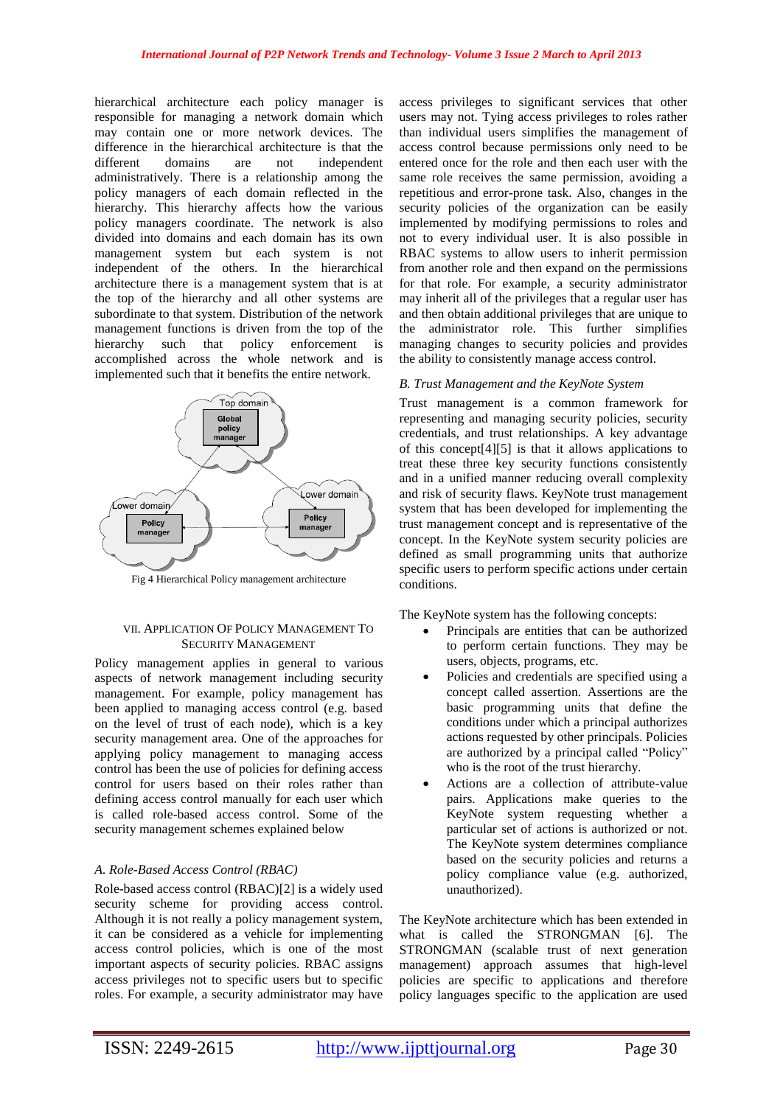hierarchical architecture each policy manager is responsible for managing a network domain which may contain one or more network devices. The difference in the hierarchical architecture is that the different domains are not independent administratively. There is a relationship among the policy managers of each domain reflected in the hierarchy. This hierarchy affects how the various policy managers coordinate. The network is also divided into domains and each domain has its own management system but each system is not independent of the others. In the hierarchical architecture there is a management system that is at the top of the hierarchy and all other systems are subordinate to that system. Distribution of the network management functions is driven from the top of the hierarchy such that policy enforcement is accomplished across the whole network and is implemented such that it benefits the entire network.



Fig 4 Hierarchical Policy management architecture

### VII. APPLICATION OF POLICY MANAGEMENT TO SECURITY MANAGEMENT

Policy management applies in general to various aspects of network management including security management. For example, policy management has been applied to managing access control (e.g. based on the level of trust of each node), which is a key security management area. One of the approaches for applying policy management to managing access control has been the use of policies for defining access control for users based on their roles rather than defining access control manually for each user which is called role-based access control. Some of the security management schemes explained below

## *A. Role-Based Access Control (RBAC)*

Role-based access control (RBAC)[2] is a widely used security scheme for providing access control. Although it is not really a policy management system, it can be considered as a vehicle for implementing access control policies, which is one of the most important aspects of security policies. RBAC assigns access privileges not to specific users but to specific roles. For example, a security administrator may have access privileges to significant services that other users may not. Tying access privileges to roles rather than individual users simplifies the management of access control because permissions only need to be entered once for the role and then each user with the same role receives the same permission, avoiding a repetitious and error-prone task. Also, changes in the security policies of the organization can be easily implemented by modifying permissions to roles and not to every individual user. It is also possible in RBAC systems to allow users to inherit permission from another role and then expand on the permissions for that role. For example, a security administrator may inherit all of the privileges that a regular user has and then obtain additional privileges that are unique to the administrator role. This further simplifies managing changes to security policies and provides the ability to consistently manage access control.

## *B. Trust Management and the KeyNote System*

Trust management is a common framework for representing and managing security policies, security credentials, and trust relationships. A key advantage of this concept[4][5] is that it allows applications to treat these three key security functions consistently and in a unified manner reducing overall complexity and risk of security flaws. KeyNote trust management system that has been developed for implementing the trust management concept and is representative of the concept. In the KeyNote system security policies are defined as small programming units that authorize specific users to perform specific actions under certain conditions.

The KeyNote system has the following concepts:

- Principals are entities that can be authorized to perform certain functions. They may be users, objects, programs, etc.
- Policies and credentials are specified using a concept called assertion. Assertions are the basic programming units that define the conditions under which a principal authorizes actions requested by other principals. Policies are authorized by a principal called "Policy" who is the root of the trust hierarchy.
- Actions are a collection of attribute-value pairs. Applications make queries to the KeyNote system requesting whether a particular set of actions is authorized or not. The KeyNote system determines compliance based on the security policies and returns a policy compliance value (e.g. authorized, unauthorized).

The KeyNote architecture which has been extended in what is called the STRONGMAN [6]. The STRONGMAN (scalable trust of next generation management) approach assumes that high-level policies are specific to applications and therefore policy languages specific to the application are used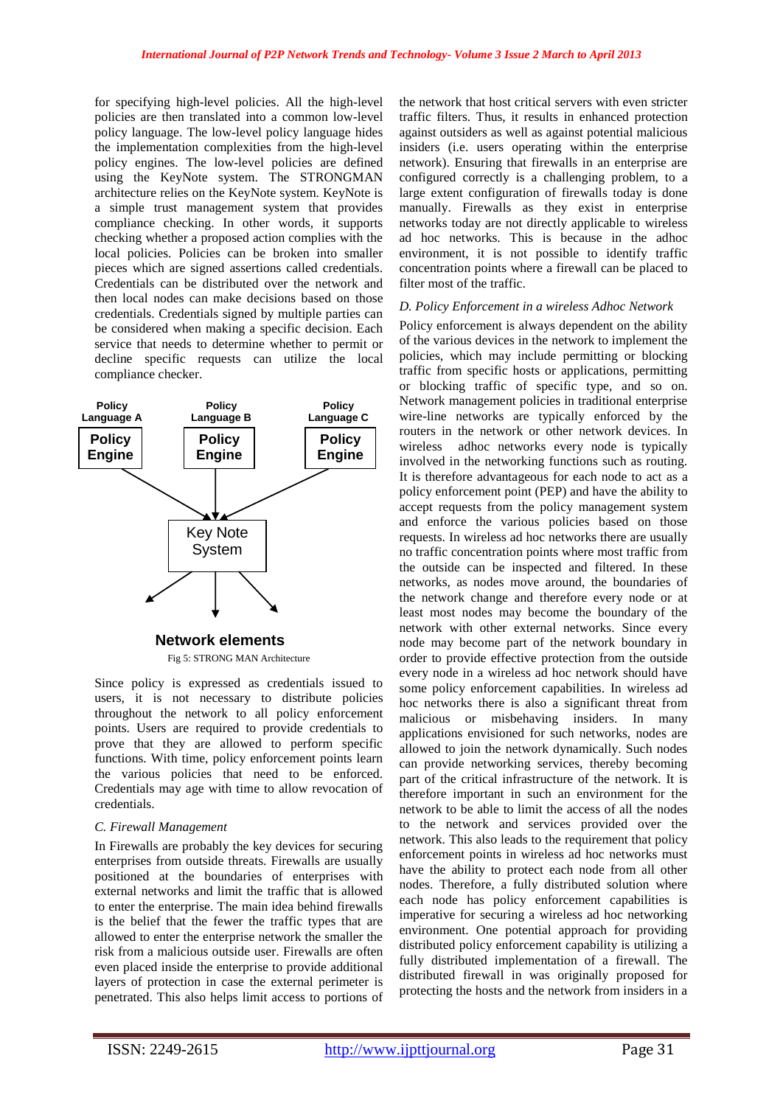for specifying high-level policies. All the high-level policies are then translated into a common low-level policy language. The low-level policy language hides the implementation complexities from the high-level policy engines. The low-level policies are defined using the KeyNote system. The STRONGMAN architecture relies on the KeyNote system. KeyNote is a simple trust management system that provides compliance checking. In other words, it supports checking whether a proposed action complies with the local policies. Policies can be broken into smaller pieces which are signed assertions called credentials. Credentials can be distributed over the network and then local nodes can make decisions based on those credentials. Credentials signed by multiple parties can be considered when making a specific decision. Each service that needs to determine whether to permit or decline specific requests can utilize the local compliance checker.



**Network elements**

Fig 5: STRONG MAN Architecture

Since policy is expressed as credentials issued to users, it is not necessary to distribute policies throughout the network to all policy enforcement points. Users are required to provide credentials to prove that they are allowed to perform specific functions. With time, policy enforcement points learn the various policies that need to be enforced. Credentials may age with time to allow revocation of credentials.

# *C. Firewall Management*

In Firewalls are probably the key devices for securing enterprises from outside threats. Firewalls are usually positioned at the boundaries of enterprises with external networks and limit the traffic that is allowed to enter the enterprise. The main idea behind firewalls is the belief that the fewer the traffic types that are allowed to enter the enterprise network the smaller the risk from a malicious outside user. Firewalls are often even placed inside the enterprise to provide additional layers of protection in case the external perimeter is penetrated. This also helps limit access to portions of the network that host critical servers with even stricter traffic filters. Thus, it results in enhanced protection against outsiders as well as against potential malicious insiders (i.e. users operating within the enterprise network). Ensuring that firewalls in an enterprise are configured correctly is a challenging problem, to a large extent configuration of firewalls today is done manually. Firewalls as they exist in enterprise networks today are not directly applicable to wireless ad hoc networks. This is because in the adhoc environment, it is not possible to identify traffic concentration points where a firewall can be placed to filter most of the traffic.

## *D. Policy Enforcement in a wireless Adhoc Network*

Policy enforcement is always dependent on the ability of the various devices in the network to implement the policies, which may include permitting or blocking traffic from specific hosts or applications, permitting or blocking traffic of specific type, and so on. Network management policies in traditional enterprise wire-line networks are typically enforced by the routers in the network or other network devices. In wireless adhoc networks every node is typically involved in the networking functions such as routing. It is therefore advantageous for each node to act as a policy enforcement point (PEP) and have the ability to accept requests from the policy management system and enforce the various policies based on those requests. In wireless ad hoc networks there are usually no traffic concentration points where most traffic from the outside can be inspected and filtered. In these networks, as nodes move around, the boundaries of the network change and therefore every node or at least most nodes may become the boundary of the network with other external networks. Since every node may become part of the network boundary in order to provide effective protection from the outside every node in a wireless ad hoc network should have some policy enforcement capabilities. In wireless ad hoc networks there is also a significant threat from malicious or misbehaving insiders. In many applications envisioned for such networks, nodes are allowed to join the network dynamically. Such nodes can provide networking services, thereby becoming part of the critical infrastructure of the network. It is therefore important in such an environment for the network to be able to limit the access of all the nodes to the network and services provided over the network. This also leads to the requirement that policy enforcement points in wireless ad hoc networks must have the ability to protect each node from all other nodes. Therefore, a fully distributed solution where each node has policy enforcement capabilities is imperative for securing a wireless ad hoc networking environment. One potential approach for providing distributed policy enforcement capability is utilizing a fully distributed implementation of a firewall. The distributed firewall in was originally proposed for protecting the hosts and the network from insiders in a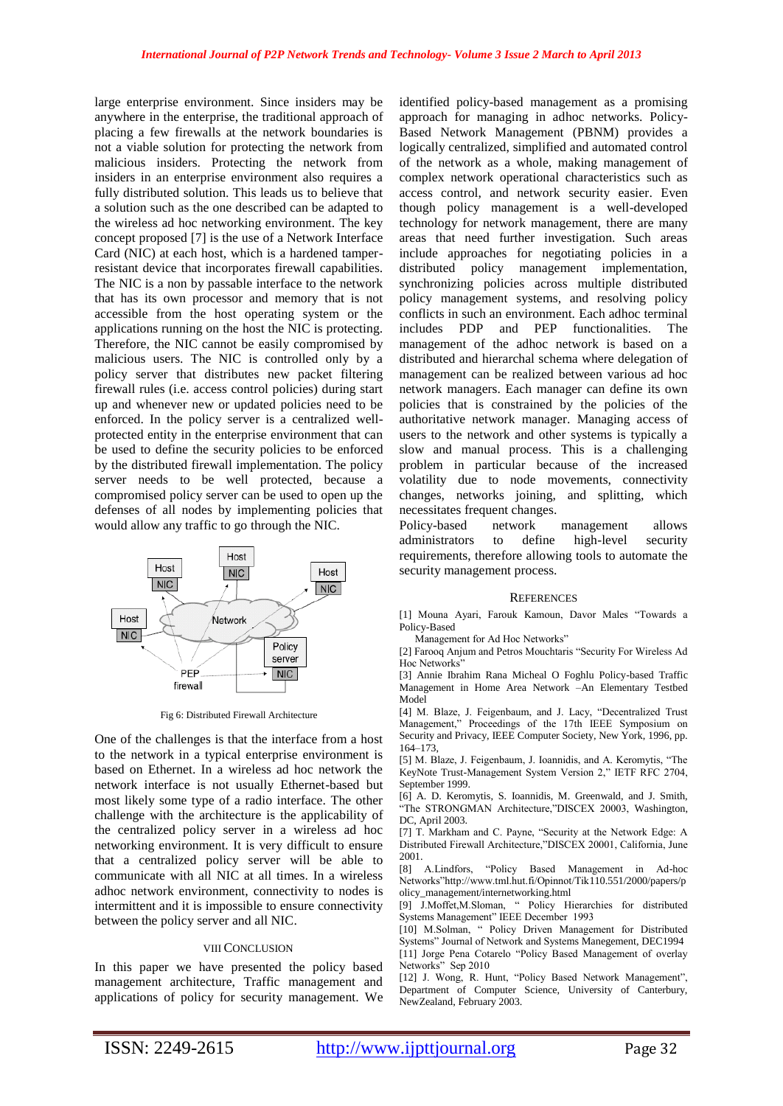large enterprise environment. Since insiders may be anywhere in the enterprise, the traditional approach of placing a few firewalls at the network boundaries is not a viable solution for protecting the network from malicious insiders. Protecting the network from insiders in an enterprise environment also requires a fully distributed solution. This leads us to believe that a solution such as the one described can be adapted to the wireless ad hoc networking environment. The key concept proposed [7] is the use of a Network Interface Card (NIC) at each host, which is a hardened tamperresistant device that incorporates firewall capabilities. The NIC is a non by passable interface to the network that has its own processor and memory that is not accessible from the host operating system or the applications running on the host the NIC is protecting. Therefore, the NIC cannot be easily compromised by malicious users. The NIC is controlled only by a policy server that distributes new packet filtering firewall rules (i.e. access control policies) during start up and whenever new or updated policies need to be enforced. In the policy server is a centralized wellprotected entity in the enterprise environment that can be used to define the security policies to be enforced by the distributed firewall implementation. The policy server needs to be well protected, because a compromised policy server can be used to open up the defenses of all nodes by implementing policies that would allow any traffic to go through the NIC.



Fig 6: Distributed Firewall Architecture

One of the challenges is that the interface from a host to the network in a typical enterprise environment is based on Ethernet. In a wireless ad hoc network the network interface is not usually Ethernet-based but most likely some type of a radio interface. The other challenge with the architecture is the applicability of the centralized policy server in a wireless ad hoc networking environment. It is very difficult to ensure that a centralized policy server will be able to communicate with all NIC at all times. In a wireless adhoc network environment, connectivity to nodes is intermittent and it is impossible to ensure connectivity between the policy server and all NIC.

#### VIII CONCLUSION

In this paper we have presented the policy based management architecture, Traffic management and applications of policy for security management. We

identified policy-based management as a promising approach for managing in adhoc networks. Policy-Based Network Management (PBNM) provides a logically centralized, simplified and automated control of the network as a whole, making management of complex network operational characteristics such as access control, and network security easier. Even though policy management is a well-developed technology for network management, there are many areas that need further investigation. Such areas include approaches for negotiating policies in a distributed policy management implementation, synchronizing policies across multiple distributed policy management systems, and resolving policy conflicts in such an environment. Each adhoc terminal includes PDP and PEP functionalities. The management of the adhoc network is based on a distributed and hierarchal schema where delegation of management can be realized between various ad hoc network managers. Each manager can define its own policies that is constrained by the policies of the authoritative network manager. Managing access of users to the network and other systems is typically a slow and manual process. This is a challenging problem in particular because of the increased volatility due to node movements, connectivity changes, networks joining, and splitting, which necessitates frequent changes.

Policy-based network management allows administrators to define high-level security requirements, therefore allowing tools to automate the security management process.

#### **REFERENCES**

[1] Mouna Ayari, Farouk Kamoun, Davor Males "Towards a Policy-Based

Management for Ad Hoc Networks"

[2] Farooq Anjum and Petros Mouchtaris "Security For Wireless Ad Hoc Networks"

[3] Annie Ibrahim Rana Micheal O Foghlu Policy-based Traffic Management in Home Area Network –An Elementary Testbed Model

[4] M. Blaze, J. Feigenbaum, and J. Lacy, "Decentralized Trust Management," Proceedings of the 17th IEEE Symposium on Security and Privacy, IEEE Computer Society, New York, 1996, pp. 164–173,

[5] M. Blaze, J. Feigenbaum, J. Ioannidis, and A. Keromytis, "The KeyNote Trust-Management System Version 2," IETF RFC 2704, September 1999.

[6] A. D. Keromytis, S. Ioannidis, M. Greenwald, and J. Smith, "The STRONGMAN Architecture,"DISCEX 20003, Washington, DC, April 2003.

[7] T. Markham and C. Payne, "Security at the Network Edge: A Distributed Firewall Architecture,"DISCEX 20001, California, June 2001.

[8] A.Lindfors, "Policy Based Management in Ad-hoc Networks"http://www.tml.hut.fi/Opinnot/Tik110.551/2000/papers/p olicy\_management/internetworking.html

[9] J.Moffet,M.Sloman, " Policy Hierarchies for distributed Systems Management" IEEE December 1993

[10] M.Solman, " Policy Driven Management for Distributed Systems" Journal of Network and Systems Manegement, DEC1994 [11] Jorge Pena Cotarelo "Policy Based Management of overlay Networks" Sep 2010

[12] J. Wong, R. Hunt, "Policy Based Network Management", Department of Computer Science, University of Canterbury, NewZealand, February 2003.